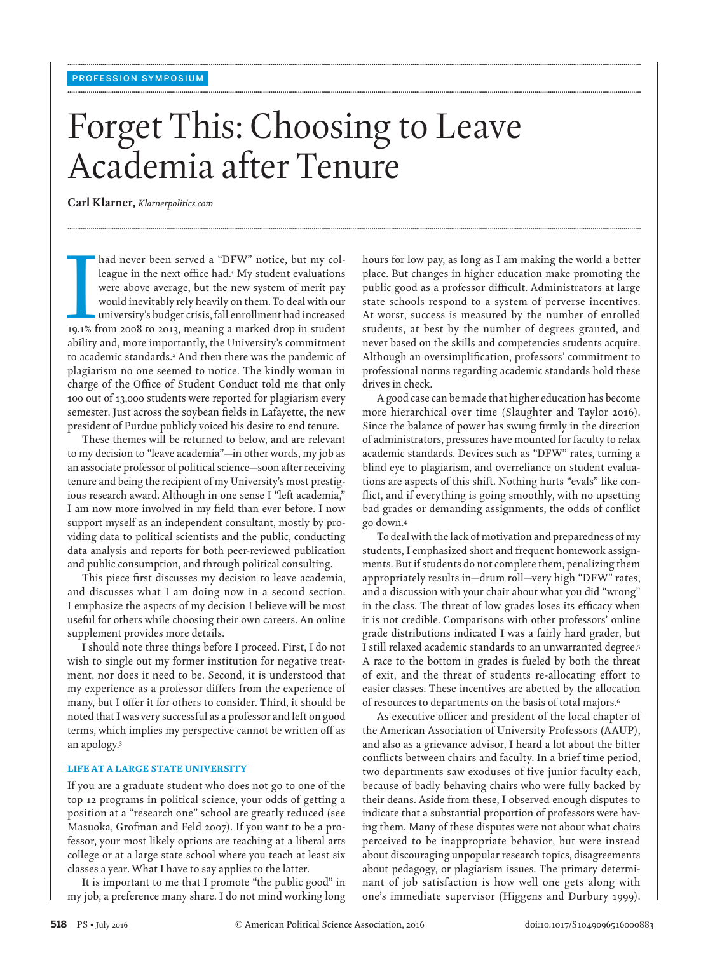# Forget This: Choosing to Leave Academia after Tenure

**........................................................................................................................................................................................................................................................................................................**

**........................................................................................................................................................................................................................................................................................................**

**........................................................................................................................................................................................................................................................................................................**

 **Carl Klarner ,** *Klarnerpolitics.com* 

I had never been served a "DFW" notice, but my colleague in the next office had.<sup>1</sup> My student evaluations were above average, but the new system of merit pay would inevitably rely heavily on them. To deal with our univers league in the next office had.<sup>1</sup> My student evaluations were above average, but the new system of merit pay would inevitably rely heavily on them. To deal with our university's budget crisis, fall enrollment had increased ability and, more importantly, the University's commitment to academic standards.<sup>2</sup> And then there was the pandemic of plagiarism no one seemed to notice. The kindly woman in charge of the Office of Student Conduct told me that only 100 out of 13,000 students were reported for plagiarism every semester. Just across the soybean fields in Lafayette, the new president of Purdue publicly voiced his desire to end tenure.

 These themes will be returned to below, and are relevant to my decision to "leave academia"—in other words, my job as an associate professor of political science—soon after receiving tenure and being the recipient of my University's most prestigious research award. Although in one sense I "left academia," I am now more involved in my field than ever before. I now support myself as an independent consultant, mostly by providing data to political scientists and the public, conducting data analysis and reports for both peer-reviewed publication and public consumption, and through political consulting.

This piece first discusses my decision to leave academia, and discusses what I am doing now in a second section. I emphasize the aspects of my decision I believe will be most useful for others while choosing their own careers. An online supplement provides more details.

 I should note three things before I proceed. First, I do not wish to single out my former institution for negative treatment, nor does it need to be. Second, it is understood that my experience as a professor differs from the experience of many, but I offer it for others to consider. Third, it should be noted that I was very successful as a professor and left on good terms, which implies my perspective cannot be written off as an apology. 3

# **LIFE AT A LARGE STATE UNIVERSITY**

 If you are a graduate student who does not go to one of the top 12 programs in political science, your odds of getting a position at a "research one" school are greatly reduced (see Masuoka, Grofman and Feld 2007). If you want to be a professor, your most likely options are teaching at a liberal arts college or at a large state school where you teach at least six classes a year. What I have to say applies to the latter.

 It is important to me that I promote "the public good" in my job, a preference many share. I do not mind working long hours for low pay, as long as I am making the world a better place. But changes in higher education make promoting the public good as a professor difficult. Administrators at large state schools respond to a system of perverse incentives. At worst, success is measured by the number of enrolled students, at best by the number of degrees granted, and never based on the skills and competencies students acquire. Although an oversimplification, professors' commitment to professional norms regarding academic standards hold these drives in check.

 A good case can be made that higher education has become more hierarchical over time (Slaughter and Taylor 2016). Since the balance of power has swung firmly in the direction of administrators, pressures have mounted for faculty to relax academic standards. Devices such as "DFW" rates, turning a blind eye to plagiarism, and overreliance on student evaluations are aspects of this shift. Nothing hurts "evals" like conflict, and if everything is going smoothly, with no upsetting bad grades or demanding assignments, the odds of conflict go down. 4

 To deal with the lack of motivation and preparedness of my students, I emphasized short and frequent homework assignments. But if students do not complete them, penalizing them appropriately results in—drum roll—very high "DFW" rates, and a discussion with your chair about what you did "wrong" in the class. The threat of low grades loses its efficacy when it is not credible. Comparisons with other professors' online grade distributions indicated I was a fairly hard grader, but I still relaxed academic standards to an unwarranted degree.<sup>5</sup> A race to the bottom in grades is fueled by both the threat of exit, and the threat of students re-allocating effort to easier classes. These incentives are abetted by the allocation of resources to departments on the basis of total majors. 6

As executive officer and president of the local chapter of the American Association of University Professors (AAUP), and also as a grievance advisor, I heard a lot about the bitter conflicts between chairs and faculty. In a brief time period, two departments saw exoduses of five junior faculty each, because of badly behaving chairs who were fully backed by their deans. Aside from these, I observed enough disputes to indicate that a substantial proportion of professors were having them. Many of these disputes were not about what chairs perceived to be inappropriate behavior, but were instead about discouraging unpopular research topics, disagreements about pedagogy, or plagiarism issues. The primary determinant of job satisfaction is how well one gets along with one's immediate supervisor (Higgens and Durbury 1999).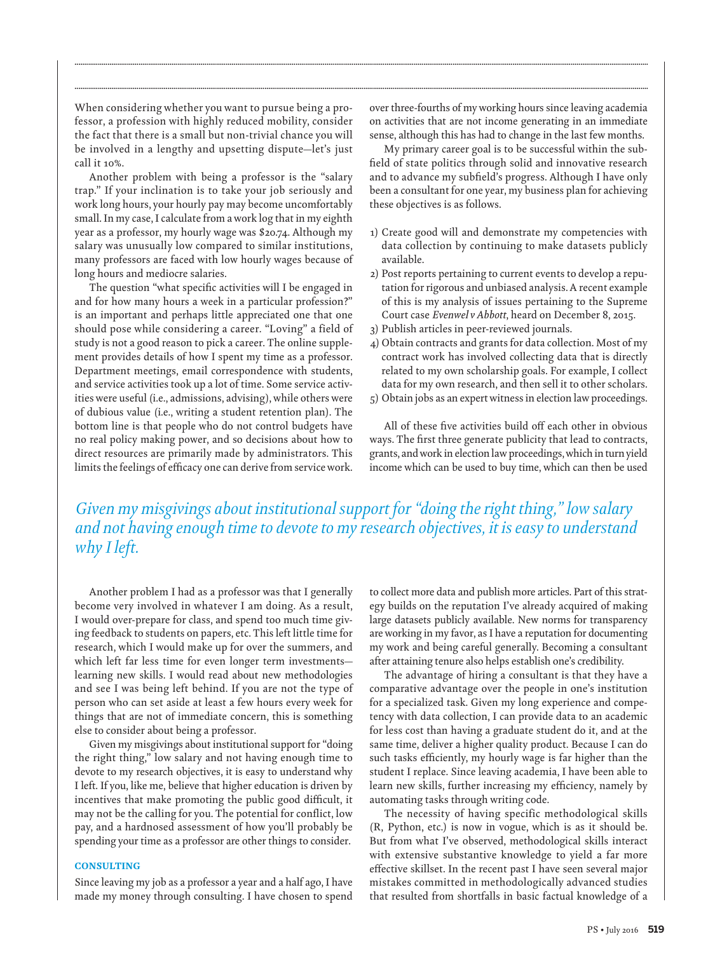When considering whether you want to pursue being a professor, a profession with highly reduced mobility, consider the fact that there is a small but non-trivial chance you will be involved in a lengthy and upsetting dispute—let's just call it 10%.

 Another problem with being a professor is the "salary trap." If your inclination is to take your job seriously and work long hours, your hourly pay may become uncomfortably small. In my case, I calculate from a work log that in my eighth year as a professor, my hourly wage was \$20.74. Although my salary was unusually low compared to similar institutions, many professors are faced with low hourly wages because of long hours and mediocre salaries.

The question "what specific activities will I be engaged in and for how many hours a week in a particular profession?" is an important and perhaps little appreciated one that one should pose while considering a career. "Loving" a field of study is not a good reason to pick a career. The online supplement provides details of how I spent my time as a professor. Department meetings, email correspondence with students, and service activities took up a lot of time. Some service activities were useful (i.e., admissions, advising), while others were of dubious value (i.e., writing a student retention plan). The bottom line is that people who do not control budgets have no real policy making power, and so decisions about how to direct resources are primarily made by administrators. This limits the feelings of efficacy one can derive from service work.

over three-fourths of my working hours since leaving academia on activities that are not income generating in an immediate sense, although this has had to change in the last few months.

 My primary career goal is to be successful within the subfield of state politics through solid and innovative research and to advance my subfield's progress. Although I have only been a consultant for one year, my business plan for achieving these objectives is as follows.

- 1) Create good will and demonstrate my competencies with data collection by continuing to make datasets publicly available.
- 2) Post reports pertaining to current events to develop a reputation for rigorous and unbiased analysis. A recent example of this is my analysis of issues pertaining to the Supreme Court case *Evenwel v Abbott* , heard on December 8, 2015.
- 3) Publish articles in peer-reviewed journals.
- 4) Obtain contracts and grants for data collection. Most of my contract work has involved collecting data that is directly related to my own scholarship goals. For example, I collect data for my own research, and then sell it to other scholars.
- 5) Obtain jobs as an expert witness in election law proceedings.

All of these five activities build off each other in obvious ways. The first three generate publicity that lead to contracts, grants, and work in election law proceedings, which in turn yield income which can be used to buy time, which can then be used

 *Given my misgivings about institutional support for "doing the right thing," low salary and not having enough time to devote to my research objectives, it is easy to understand why I left.* 

**........................................................................................................................................................................................................................................................................................................**

**........................................................................................................................................................................................................................................................................................................**

 Another problem I had as a professor was that I generally become very involved in whatever I am doing. As a result, I would over-prepare for class, and spend too much time giving feedback to students on papers, etc. This left little time for research, which I would make up for over the summers, and which left far less time for even longer term investments learning new skills. I would read about new methodologies and see I was being left behind. If you are not the type of person who can set aside at least a few hours every week for things that are not of immediate concern, this is something else to consider about being a professor.

 Given my misgivings about institutional support for "doing the right thing," low salary and not having enough time to devote to my research objectives, it is easy to understand why I left. If you, like me, believe that higher education is driven by incentives that make promoting the public good difficult, it may not be the calling for you. The potential for conflict, low pay, and a hardnosed assessment of how you'll probably be spending your time as a professor are other things to consider.

## **CONSULTING**

 Since leaving my job as a professor a year and a half ago, I have made my money through consulting. I have chosen to spend to collect more data and publish more articles. Part of this strategy builds on the reputation I've already acquired of making large datasets publicly available. New norms for transparency are working in my favor, as I have a reputation for documenting my work and being careful generally. Becoming a consultant after attaining tenure also helps establish one's credibility.

 The advantage of hiring a consultant is that they have a comparative advantage over the people in one's institution for a specialized task. Given my long experience and competency with data collection, I can provide data to an academic for less cost than having a graduate student do it, and at the same time, deliver a higher quality product. Because I can do such tasks efficiently, my hourly wage is far higher than the student I replace. Since leaving academia, I have been able to learn new skills, further increasing my efficiency, namely by automating tasks through writing code.

 The necessity of having specific methodological skills (R, Python, etc.) is now in vogue, which is as it should be. But from what I've observed, methodological skills interact with extensive substantive knowledge to yield a far more effective skillset. In the recent past I have seen several major mistakes committed in methodologically advanced studies that resulted from shortfalls in basic factual knowledge of a